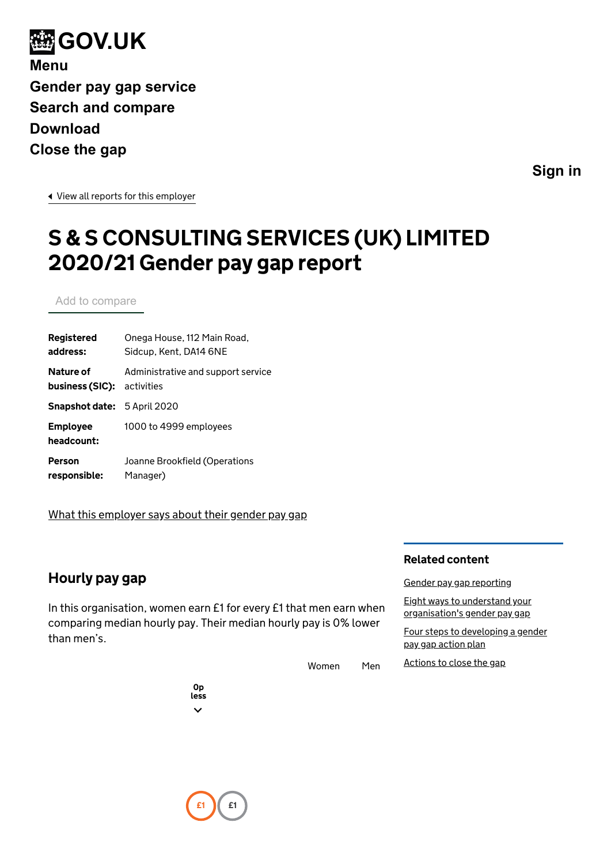<span id="page-0-0"></span>

**[Sign in](https://gender-pay-gap.service.gov.uk/account/organisations)**

[View all reports for this employer](https://gender-pay-gap.service.gov.uk/Employer/RsQ2gVei)

# S & S CONSULTING SERVICES (UK) LIMITED 2020/21 Gender pay gap report

Add to compare

| Registered                         | Onega House, 112 Main Road,        |
|------------------------------------|------------------------------------|
| address:                           | Sidcup, Kent, DA14 6NE             |
| Nature of                          | Administrative and support service |
| business (SIC):                    | activities                         |
| <b>Snapshot date:</b> 5 April 2020 |                                    |
| <b>Employee</b><br>headcount:      | 1000 to 4999 employees             |
| Person                             | Joanne Brookfield (Operations      |
| responsible:                       | Manager)                           |

[What this employer says about their gender pay gap](https://sscservices.co.uk/)

## Hourly pay gap

In this organisation, women earn £1 for every £1 that men earn when comparing median hourly pay. Their median hourly pay is 0% lower than men's.

Women Men

#### Related content

[Gender pay gap reporting](https://www.gov.uk/government/collections/gender-pay-gap-reporting)

[Eight ways to understand your](https://gender-pay-gap.service.gov.uk/guidance/eight-ways-to-understand-your-organisations-gender-pay-gap/overview) organisation's gender pay gap

[Four steps to developing a gender](https://gender-pay-gap.service.gov.uk/public/assets/pdf/action-plan-guidance.pdf) pay gap action plan

[Actions to close the gap](https://gender-pay-gap.service.gov.uk/actions-to-close-the-gap)

0p less  $\checkmark$